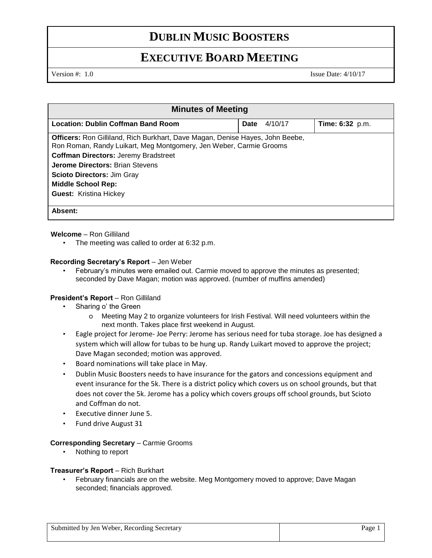# **DUBLIN MUSIC BOOSTERS**

# **EXECUTIVE BOARD MEETING**

Version #: 1.0 Issue Date: 4/10/17

| <b>Minutes of Meeting</b>                                                            |                        |                 |
|--------------------------------------------------------------------------------------|------------------------|-----------------|
| <b>Location: Dublin Coffman Band Room</b>                                            | 4/10/17<br><b>Date</b> | Time: 6:32 p.m. |
| <b>Officers:</b> Ron Gilliland, Rich Burkhart, Dave Magan, Denise Hayes, John Beebe, |                        |                 |
| Ron Roman, Randy Luikart, Meg Montgomery, Jen Weber, Carmie Grooms                   |                        |                 |
| <b>Coffman Directors: Jeremy Bradstreet</b>                                          |                        |                 |
| <b>Jerome Directors: Brian Stevens</b>                                               |                        |                 |
| <b>Scioto Directors: Jim Gray</b>                                                    |                        |                 |
| <b>Middle School Rep:</b>                                                            |                        |                 |
| <b>Guest: Kristina Hickey</b>                                                        |                        |                 |
|                                                                                      |                        |                 |
| Absent:                                                                              |                        |                 |

## **Welcome** – Ron Gilliland

• The meeting was called to order at 6:32 p.m.

### **Recording Secretary's Report** – Jen Weber

• February's minutes were emailed out. Carmie moved to approve the minutes as presented; seconded by Dave Magan; motion was approved. (number of muffins amended)

#### President's Report - Ron Gilliland

- Sharing o' the Green
	- o Meeting May 2 to organize volunteers for Irish Festival. Will need volunteers within the next month. Takes place first weekend in August.
- Eagle project for Jerome- Joe Perry: Jerome has serious need for tuba storage. Joe has designed a system which will allow for tubas to be hung up. Randy Luikart moved to approve the project; Dave Magan seconded; motion was approved.
- Board nominations will take place in May.
- Dublin Music Boosters needs to have insurance for the gators and concessions equipment and event insurance for the 5k. There is a district policy which covers us on school grounds, but that does not cover the 5k. Jerome has a policy which covers groups off school grounds, but Scioto and Coffman do not.
- Executive dinner June 5.
- Fund drive August 31

### **Corresponding Secretary** – Carmie Grooms

• Nothing to report

#### **Treasurer's Report** – Rich Burkhart

• February financials are on the website. Meg Montgomery moved to approve; Dave Magan seconded; financials approved.